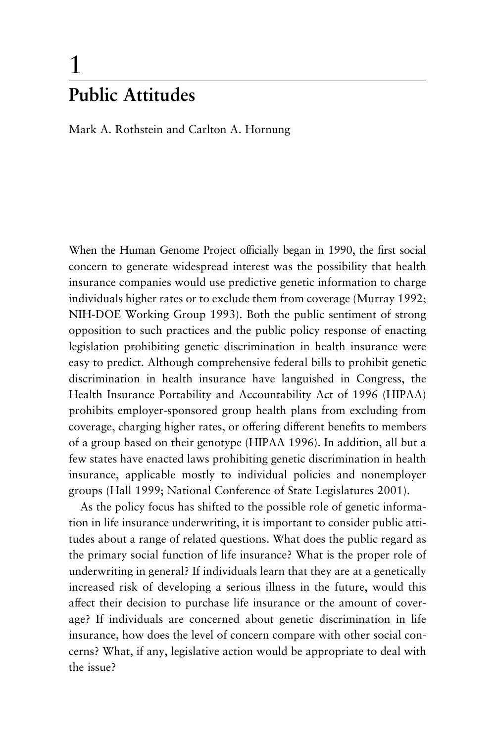# 1 **Public Attitudes**

Mark A. Rothstein and Carlton A. Hornung

When the Human Genome Project officially began in 1990, the first social concern to generate widespread interest was the possibility that health insurance companies would use predictive genetic information to charge individuals higher rates or to exclude them from coverage (Murray 1992; NIH-DOE Working Group 1993). Both the public sentiment of strong opposition to such practices and the public policy response of enacting legislation prohibiting genetic discrimination in health insurance were easy to predict. Although comprehensive federal bills to prohibit genetic discrimination in health insurance have languished in Congress, the Health Insurance Portability and Accountability Act of 1996 (HIPAA) prohibits employer-sponsored group health plans from excluding from coverage, charging higher rates, or offering different benefits to members of a group based on their genotype (HIPAA 1996). In addition, all but a [few states have enacted laws prohibiting genetic discrimination in health](#page--1-0) insurance, applicable mostly to individual policies and nonemployer groups (Hall 1999; National Conference of State Legislatures 2001).

As the policy focus has shifted to the possible role of genetic information in life insurance underwriting, it is important to consider public attitudes about a range of related questions. What does the public regard as the primary social function of life insurance? What is the proper role of underwriting in general? If individuals learn that they are at a genetically increased risk of developing a serious illness in the future, would this affect their decision to purchase life insurance or the amount of coverage? If individuals are concerned about genetic discrimination in life insurance, how does the level of concern compare with other social concerns? What, if any, legislative action would be appropriate to deal with the issue?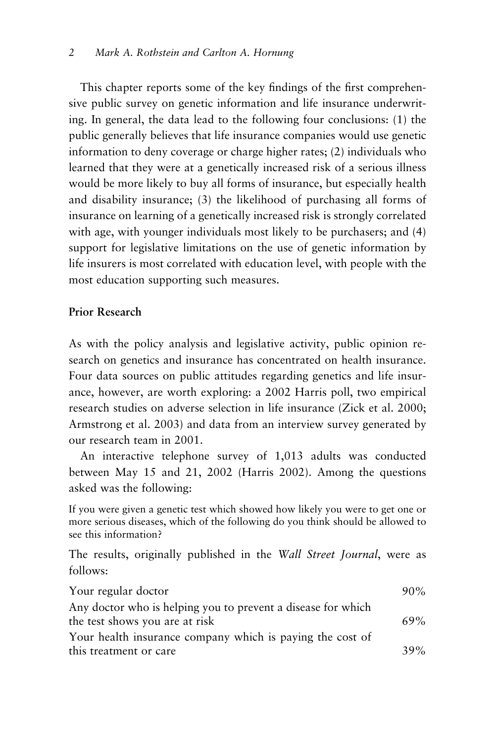This chapter reports some of the key findings of the first comprehensive public survey on genetic information and life insurance underwriting. In general, the data lead to the following four conclusions: (1) the public generally believes that life insurance companies would use genetic information to deny coverage or charge higher rates; (2) individuals who learned that they were at a genetically increased risk of a serious illness would be more likely to buy all forms of insurance, but especially health and disability insurance; (3) the likelihood of purchasing all forms of insurance on learning of a genetically increased risk is strongly correlated with age, with younger individuals most likely to be purchasers; and (4) support for legislative limitations on the use of genetic information by life insurers is most correlated with education level, with people with the most education supporting such measures.

## **Prior Research**

As with the policy analysis and legislative activity, public opinion research on genetics and insurance has concentrated on health insurance. Four data sources on public attitudes regarding genetics and life insurance, however, are worth exploring: a 2002 Harris poll, two empirical research studies on adverse selection in life insurance (Zick et al. 2000; Armstrong et al. 2003) and data from an interview survey generated by our research team in 2001.

An interactive telephone survey of 1,013 adults was conducted between May 15 and 21, 2002 (Harris 2002). Among the questions asked was the following:

If you were given a genetic test which showed how likely you were to get one or more serious diseases, which of the following do you think should be allowed to see this information?

The results, originally published in the *Wall Street Journal*, were as follows:

| Your regular doctor                                          | 90% |
|--------------------------------------------------------------|-----|
| Any doctor who is helping you to prevent a disease for which |     |
| the test shows you are at risk                               | 69% |
| Your health insurance company which is paying the cost of    |     |
| this treatment or care                                       | 39% |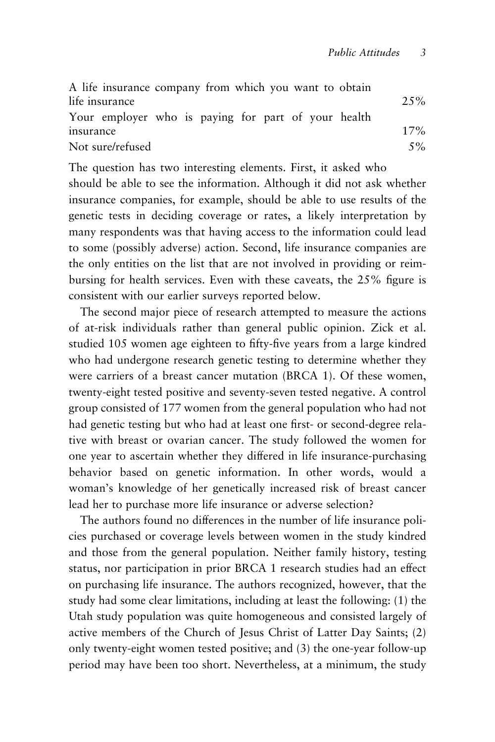| A life insurance company from which you want to obtain |         |
|--------------------------------------------------------|---------|
| life insurance                                         | $2.5\%$ |
| Your employer who is paying for part of your health    |         |
| insurance                                              | 17%     |
| Not sure/refused                                       | 5%      |

The question has two interesting elements. First, it asked who should be able to see the information. Although it did not ask whether insurance companies, for example, should be able to use results of the genetic tests in deciding coverage or rates, a likely interpretation by many respondents was that having access to the information could lead to some (possibly adverse) action. Second, life insurance companies are the only entities on the list that are not involved in providing or reimbursing for health services. Even with these caveats, the 25% figure is consistent with our earlier surveys reported below.

The second major piece of research attempted to measure the actions of at-risk individuals rather than general public opinion. Zick et al. studied 105 women age eighteen to fifty-five years from a large kindred who had undergone research genetic testing to determine whether they were carriers of a breast cancer mutation (BRCA 1). Of these women, twenty-eight tested positive and seventy-seven tested negative. A control group consisted of 177 women from the general population who had not had genetic testing but who had at least one first- or second-degree relative with breast or ovarian cancer. The study followed the women for one year to ascertain whether they differed in life insurance-purchasing behavior based on genetic information. In other words, would a woman's knowledge of her genetically increased risk of breast cancer lead her to purchase more life insurance or adverse selection?

The authors found no differences in the number of life insurance policies purchased or coverage levels between women in the study kindred and those from the general population. Neither family history, testing status, nor participation in prior BRCA 1 research studies had an effect on purchasing life insurance. The authors recognized, however, that the study had some clear limitations, including at least the following: (1) the Utah study population was quite homogeneous and consisted largely of active members of the Church of Jesus Christ of Latter Day Saints; (2) only twenty-eight women tested positive; and (3) the one-year follow-up period may have been too short. Nevertheless, at a minimum, the study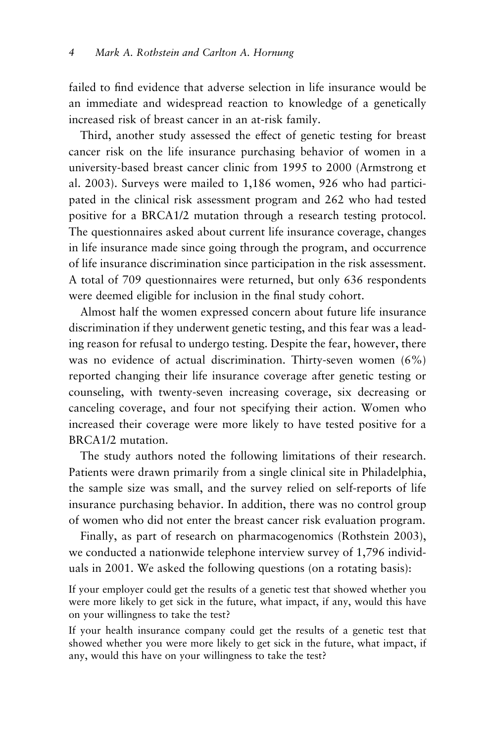failed to find evidence that adverse selection in life insurance would be an immediate and widespread reaction to knowledge of a genetically increased risk of breast cancer in an at-risk family.

Third, another study assessed the effect of genetic testing for breast cancer risk on the life insurance purchasing behavior of women in a university-based breast cancer clinic from 1995 to 2000 (Armstrong et al. 2003). Surveys were mailed to 1,186 women, 926 who had participated in the clinical risk assessment program and 262 who had tested positive for a BRCA1/2 mutation through a research testing protocol. The questionnaires asked about current life insurance coverage, changes in life insurance made since going through the program, and occurrence of life insurance discrimination since participation in the risk assessment. A total of 709 questionnaires were returned, but only 636 respondents were deemed eligible for inclusion in the final study cohort.

Almost half the women expressed concern about future life insurance discrimination if they underwent genetic testing, and this fear was a leading reason for refusal to undergo testing. Despite the fear, however, there was no evidence of actual discrimination. Thirty-seven women (6%) reported changing their life insurance coverage after genetic testing or counseling, with twenty-seven increasing coverage, six decreasing or canceling coverage, and four not specifying their action. Women who increased their coverage were more likely to have tested positive for a BRCA1/2 mutation.

The study authors noted the following limitations of their research. Patients were drawn primarily from a single clinical site in Philadelphia, the sample size was small, and the survey relied on self-reports of life insurance purchasing behavior. In addition, there was no control group of women who did not enter the breast cancer risk evaluation program.

Finally, as part of research on pharmacogenomics (Rothstein 2003), we conducted a nationwide telephone interview survey of 1,796 individuals in 2001. We asked the following questions (on a rotating basis):

If your employer could get the results of a genetic test that showed whether you were more likely to get sick in the future, what impact, if any, would this have on your willingness to take the test?

If your health insurance company could get the results of a genetic test that showed whether you were more likely to get sick in the future, what impact, if any, would this have on your willingness to take the test?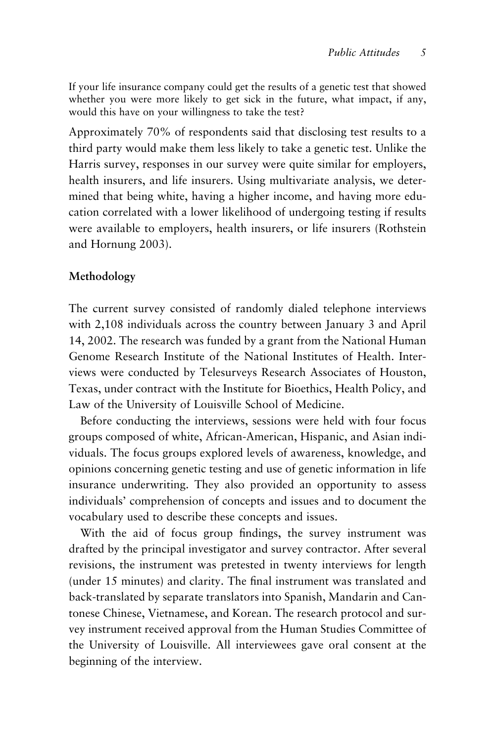If your life insurance company could get the results of a genetic test that showed whether you were more likely to get sick in the future, what impact, if any, would this have on your willingness to take the test?

Approximately 70% of respondents said that disclosing test results to a third party would make them less likely to take a genetic test. Unlike the Harris survey, responses in our survey were quite similar for employers, health insurers, and life insurers. Using multivariate analysis, we determined that being white, having a higher income, and having more education correlated with a lower likelihood of undergoing testing if results were available to employers, health insurers, or life insurers (Rothstein and Hornung 2003).

#### **Methodology**

The current survey consisted of randomly dialed telephone interviews with 2,108 individuals across the country between January 3 and April 14, 2002. The research was funded by a grant from the National Human Genome Research Institute of the National Institutes of Health. Interviews were conducted by Telesurveys Research Associates of Houston, Texas, under contract with the Institute for Bioethics, Health Policy, and Law of the University of Louisville School of Medicine.

Before conducting the interviews, sessions were held with four focus groups composed of white, African-American, Hispanic, and Asian individuals. The focus groups explored levels of awareness, knowledge, and opinions concerning genetic testing and use of genetic information in life insurance underwriting. They also provided an opportunity to assess individuals' comprehension of concepts and issues and to document the vocabulary used to describe these concepts and issues.

With the aid of focus group findings, the survey instrument was drafted by the principal investigator and survey contractor. After several revisions, the instrument was pretested in twenty interviews for length (under 15 minutes) and clarity. The final instrument was translated and back-translated by separate translators into Spanish, Mandarin and Cantonese Chinese, Vietnamese, and Korean. The research protocol and survey instrument received approval from the Human Studies Committee of the University of Louisville. All interviewees gave oral consent at the beginning of the interview.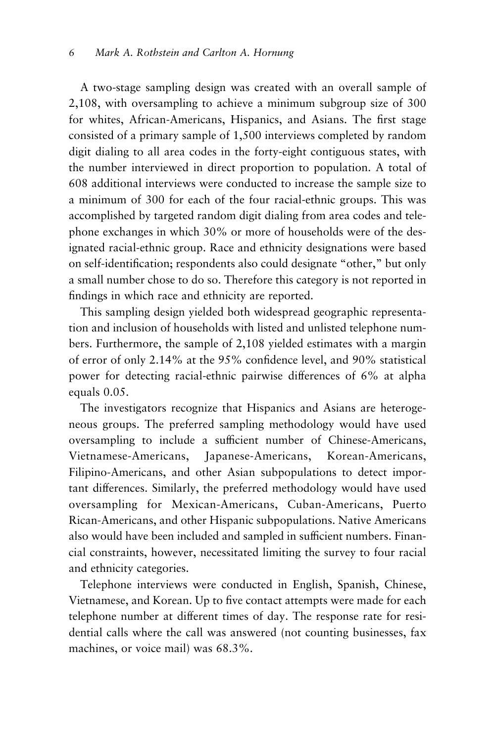A two-stage sampling design was created with an overall sample of 2,108, with oversampling to achieve a minimum subgroup size of 300 for whites, African-Americans, Hispanics, and Asians. The first stage consisted of a primary sample of 1,500 interviews completed by random digit dialing to all area codes in the forty-eight contiguous states, with the number interviewed in direct proportion to population. A total of 608 additional interviews were conducted to increase the sample size to a minimum of 300 for each of the four racial-ethnic groups. This was accomplished by targeted random digit dialing from area codes and telephone exchanges in which 30% or more of households were of the designated racial-ethnic group. Race and ethnicity designations were based on self-identification; respondents also could designate "other," but only a small number chose to do so. Therefore this category is not reported in findings in which race and ethnicity are reported.

This sampling design yielded both widespread geographic representation and inclusion of households with listed and unlisted telephone numbers. Furthermore, the sample of 2,108 yielded estimates with a margin of error of only 2.14% at the 95% confidence level, and 90% statistical power for detecting racial-ethnic pairwise differences of 6% at alpha equals 0.05.

The investigators recognize that Hispanics and Asians are heterogeneous groups. The preferred sampling methodology would have used oversampling to include a sufficient number of Chinese-Americans, Vietnamese-Americans, Japanese-Americans, Korean-Americans, Filipino-Americans, and other Asian subpopulations to detect important differences. Similarly, the preferred methodology would have used oversampling for Mexican-Americans, Cuban-Americans, Puerto Rican-Americans, and other Hispanic subpopulations. Native Americans also would have been included and sampled in sufficient numbers. Financial constraints, however, necessitated limiting the survey to four racial and ethnicity categories.

Telephone interviews were conducted in English, Spanish, Chinese, Vietnamese, and Korean. Up to five contact attempts were made for each telephone number at different times of day. The response rate for residential calls where the call was answered (not counting businesses, fax machines, or voice mail) was 68.3%.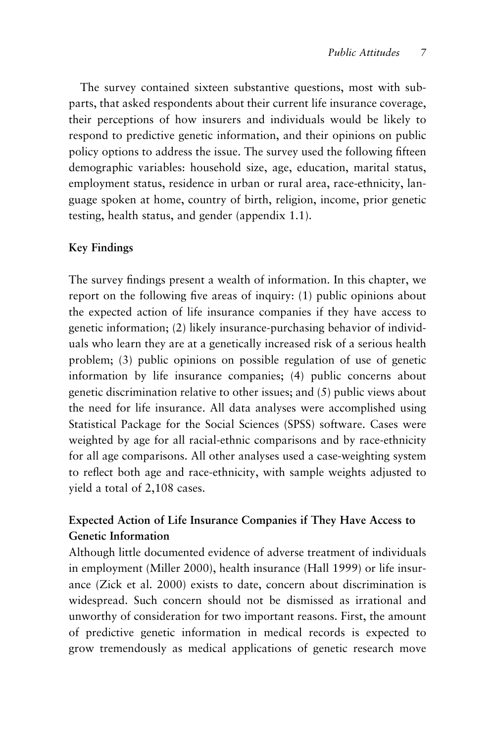The survey contained sixteen substantive questions, most with subparts, that asked respondents about their current life insurance coverage, their perceptions of how insurers and individuals would be likely to respond to predictive genetic information, and their opinions on public policy options to address the issue. The survey used the following fifteen demographic variables: household size, age, education, marital status, employment status, residence in urban or rural area, race-ethnicity, language spoken at home, country of birth, religion, income, prior genetic testing, health status, and gender (appendix 1.1).

#### **Key Findings**

The survey findings present a wealth of information. In this chapter, we report on the following five areas of inquiry: (1) public opinions about the expected action of life insurance companies if they have access to genetic information; (2) likely insurance-purchasing behavior of individuals who learn they are at a genetically increased risk of a serious health problem; (3) public opinions on possible regulation of use of genetic information by life insurance companies; (4) public concerns about genetic discrimination relative to other issues; and (5) public views about the need for life insurance. All data analyses were accomplished using Statistical Package for the Social Sciences (SPSS) software. Cases were weighted by age for all racial-ethnic comparisons and by race-ethnicity for all age comparisons. All other analyses used a case-weighting system to reflect both age and race-ethnicity, with sample weights adjusted to yield a total of 2,108 cases.

# **Expected Action of Life Insurance Companies if They Have Access to Genetic Information**

Although little documented evidence of adverse treatment of individuals in employment (Miller 2000), health insurance (Hall 1999) or life insurance (Zick et al. 2000) exists to date, concern about discrimination is widespread. Such concern should not be dismissed as irrational and unworthy of consideration for two important reasons. First, the amount of predictive genetic information in medical records is expected to grow tremendously as medical applications of genetic research move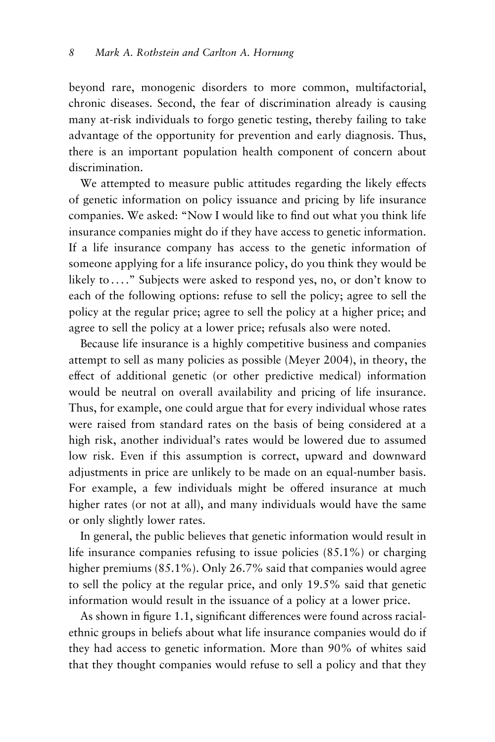beyond rare, monogenic disorders to more common, multifactorial, chronic diseases. Second, the fear of discrimination already is causing many at-risk individuals to forgo genetic testing, thereby failing to take advantage of the opportunity for prevention and early diagnosis. Thus, there is an important population health component of concern about discrimination.

We attempted to measure public attitudes regarding the likely effects of genetic information on policy issuance and pricing by life insurance companies. We asked: "Now I would like to find out what you think life insurance companies might do if they have access to genetic information. If a life insurance company has access to the genetic information of someone applying for a life insurance policy, do you think they would be likely to ...." Subjects were asked to respond yes, no, or don't know to each of the following options: refuse to sell the policy; agree to sell the policy at the regular price; agree to sell the policy at a higher price; and agree to sell the policy at a lower price; refusals also were noted.

Because life insurance is a highly competitive business and companies attempt to sell as many policies as possible (Meyer 2004), in theory, the effect of additional genetic (or other predictive medical) information would be neutral on overall availability and pricing of life insurance. Thus, for example, one could argue that for every individual whose rates were raised from standard rates on the basis of being considered at a high risk, another individual's rates would be lowered due to assumed low risk. Even if this assumption is correct, upward and downward adjustments in price are unlikely to be made on an equal-number basis. For example, a few individuals might be offered insurance at much higher rates (or not at all), and many individuals would have the same or only slightly lower rates.

In general, the public believes that genetic information would result in life insurance companies refusing to issue policies (85.1%) or charging higher premiums (85.1%). Only 26.7% said that companies would agree to sell the policy at the regular price, and only 19.5% said that genetic information would result in the issuance of a policy at a lower price.

As shown in figure 1.1, significant differences were found across racialethnic groups in beliefs about what life insurance companies would do if they had access to genetic information. More than 90% of whites said that they thought companies would refuse to sell a policy and that they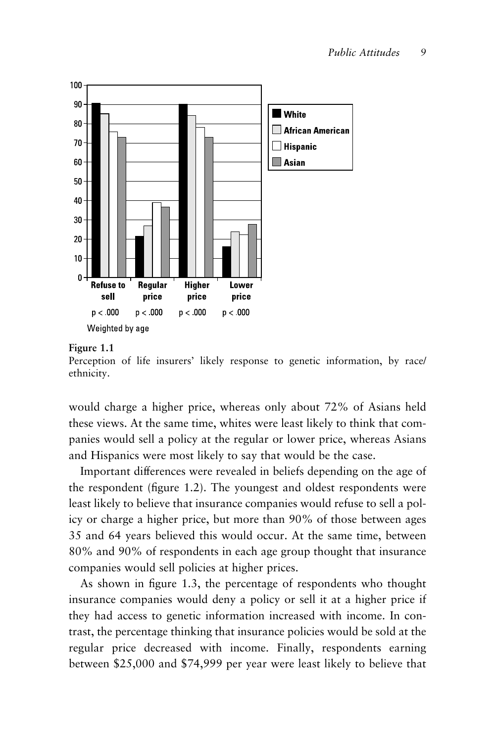



Perception of life insurers' likely response to genetic information, by race/ ethnicity.

would charge a higher price, whereas only about 72% of Asians held these views. At the same time, whites were least likely to think that companies would sell a policy at the regular or lower price, whereas Asians and Hispanics were most likely to say that would be the case.

Important differences were revealed in beliefs depending on the age of the respondent (figure 1.2). The youngest and oldest respondents were least likely to believe that insurance companies would refuse to sell a policy or charge a higher price, but more than 90% of those between ages 35 and 64 years believed this would occur. At the same time, between 80% and 90% of respondents in each age group thought that insurance companies would sell policies at higher prices.

As shown in figure 1.3, the percentage of respondents who thought insurance companies would deny a policy or sell it at a higher price if they had access to genetic information increased with income. In contrast, the percentage thinking that insurance policies would be sold at the regular price decreased with income. Finally, respondents earning between \$25,000 and \$74,999 per year were least likely to believe that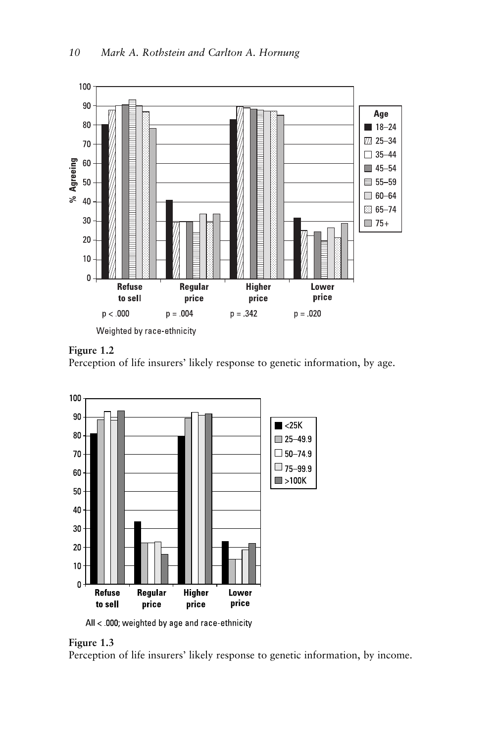

Perception of life insurers' likely response to genetic information, by age.



All < 000; weighted by age and race-ethnicity

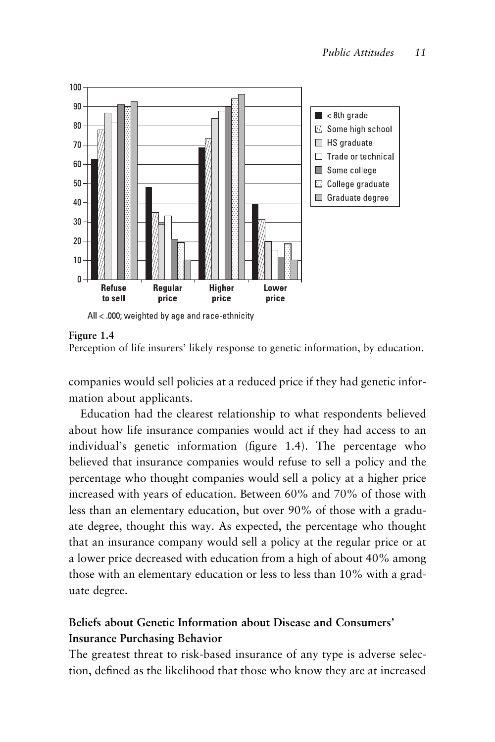

**Figure 1.4**

Perception of life insurers' likely response to genetic information, by education.

companies would sell policies at a reduced price if they had genetic information about applicants.

Education had the clearest relationship to what respondents believed about how life insurance companies would act if they had access to an individual's genetic information (figure 1.4). The percentage who believed that insurance companies would refuse to sell a policy and the percentage who thought companies would sell a policy at a higher price increased with years of education. Between 60% and 70% of those with less than an elementary education, but over 90% of those with a graduate degree, thought this way. As expected, the percentage who thought that an insurance company would sell a policy at the regular price or at a lower price decreased with education from a high of about 40% among those with an elementary education or less to less than 10% with a graduate degree.

# **Beliefs about Genetic Information about Disease and Consumers' Insurance Purchasing Behavior**

The greatest threat to risk-based insurance of any type is adverse selection, defined as the likelihood that those who know they are at increased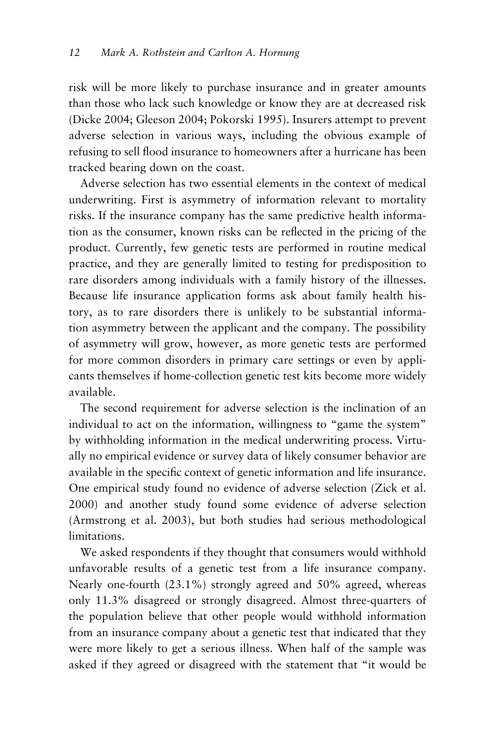risk will be more likely to purchase insurance and in greater amounts than those who lack such knowledge or know they are at decreased risk (Dicke 2004; Gleeson 2004; Pokorski 1995). Insurers attempt to prevent adverse selection in various ways, including the obvious example of refusing to sell flood insurance to homeowners after a hurricane has been tracked bearing down on the coast.

Adverse selection has two essential elements in the context of medical underwriting. First is asymmetry of information relevant to mortality risks. If the insurance company has the same predictive health information as the consumer, known risks can be reflected in the pricing of the product. Currently, few genetic tests are performed in routine medical practice, and they are generally limited to testing for predisposition to rare disorders among individuals with a family history of the illnesses. Because life insurance application forms ask about family health history, as to rare disorders there is unlikely to be substantial information asymmetry between the applicant and the company. The possibility of asymmetry will grow, however, as more genetic tests are performed for more common disorders in primary care settings or even by applicants themselves if home-collection genetic test kits become more widely available.

The second requirement for adverse selection is the inclination of an individual to act on the information, willingness to "game the system" by withholding information in the medical underwriting process. Virtually no empirical evidence or survey data of likely consumer behavior are available in the specific context of genetic information and life insurance. One empirical study found no evidence of adverse selection (Zick et al. 2000) and another study found some evidence of adverse selection (Armstrong et al. 2003), but both studies had serious methodological limitations.

We asked respondents if they thought that consumers would withhold unfavorable results of a genetic test from a life insurance company. Nearly one-fourth (23.1%) strongly agreed and 50% agreed, whereas only 11.3% disagreed or strongly disagreed. Almost three-quarters of the population believe that other people would withhold information from an insurance company about a genetic test that indicated that they were more likely to get a serious illness. When half of the sample was asked if they agreed or disagreed with the statement that "it would be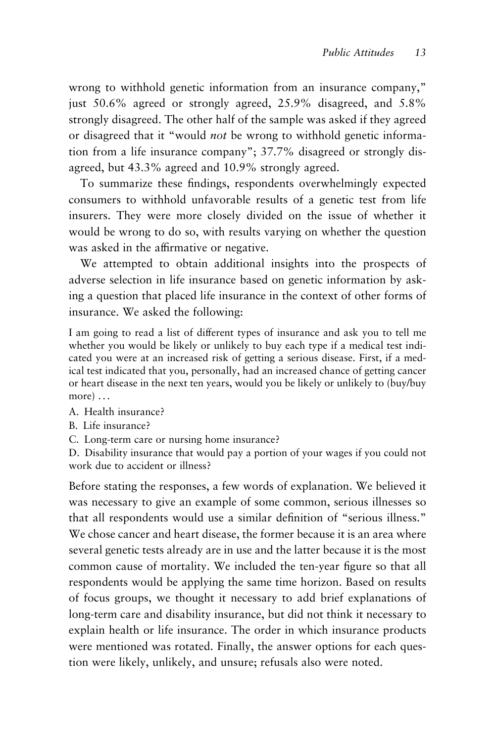wrong to withhold genetic information from an insurance company," just 50.6% agreed or strongly agreed, 25.9% disagreed, and 5.8% strongly disagreed. The other half of the sample was asked if they agreed or disagreed that it "would *not* be wrong to withhold genetic information from a life insurance company"; 37.7% disagreed or strongly disagreed, but 43.3% agreed and 10.9% strongly agreed.

To summarize these findings, respondents overwhelmingly expected consumers to withhold unfavorable results of a genetic test from life insurers. They were more closely divided on the issue of whether it would be wrong to do so, with results varying on whether the question was asked in the affirmative or negative.

We attempted to obtain additional insights into the prospects of adverse selection in life insurance based on genetic information by asking a question that placed life insurance in the context of other forms of insurance. We asked the following:

I am going to read a list of different types of insurance and ask you to tell me whether you would be likely or unlikely to buy each type if a medical test indicated you were at an increased risk of getting a serious disease. First, if a medical test indicated that you, personally, had an increased chance of getting cancer or heart disease in the next ten years, would you be likely or unlikely to (buy/buy more) ...

A. Health insurance?

B. Life insurance?

C. Long-term care or nursing home insurance?

D. Disability insurance that would pay a portion of your wages if you could not work due to accident or illness?

Before stating the responses, a few words of explanation. We believed it was necessary to give an example of some common, serious illnesses so that all respondents would use a similar definition of "serious illness." We chose cancer and heart disease, the former because it is an area where several genetic tests already are in use and the latter because it is the most common cause of mortality. We included the ten-year figure so that all respondents would be applying the same time horizon. Based on results of focus groups, we thought it necessary to add brief explanations of long-term care and disability insurance, but did not think it necessary to explain health or life insurance. The order in which insurance products were mentioned was rotated. Finally, the answer options for each question were likely, unlikely, and unsure; refusals also were noted.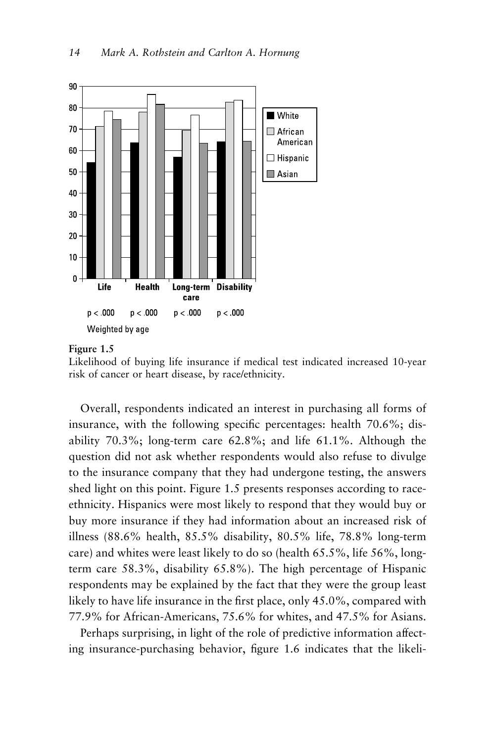



Likelihood of buying life insurance if medical test indicated increased 10-year risk of cancer or heart disease, by race/ethnicity.

Overall, respondents indicated an interest in purchasing all forms of insurance, with the following specific percentages: health 70.6%; disability 70.3%; long-term care 62.8%; and life 61.1%. Although the question did not ask whether respondents would also refuse to divulge to the insurance company that they had undergone testing, the answers shed light on this point. Figure 1.5 presents responses according to raceethnicity. Hispanics were most likely to respond that they would buy or buy more insurance if they had information about an increased risk of illness (88.6% health, 85.5% disability, 80.5% life, 78.8% long-term care) and whites were least likely to do so (health 65.5%, life 56%, longterm care 58.3%, disability 65.8%). The high percentage of Hispanic respondents may be explained by the fact that they were the group least likely to have life insurance in the first place, only 45.0%, compared with 77.9% for African-Americans, 75.6% for whites, and 47.5% for Asians.

Perhaps surprising, in light of the role of predictive information affecting insurance-purchasing behavior, figure 1.6 indicates that the likeli-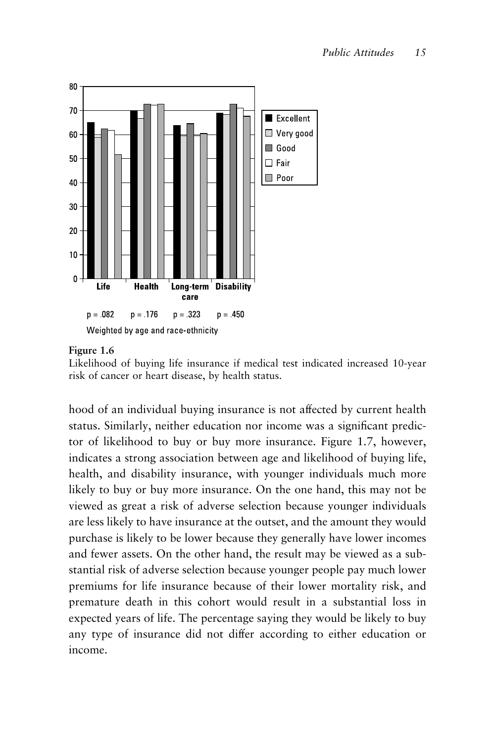

Likelihood of buying life insurance if medical test indicated increased 10-year risk of cancer or heart disease, by health status.

hood of an individual buying insurance is not affected by current health status. Similarly, neither education nor income was a significant predictor of likelihood to buy or buy more insurance. Figure 1.7, however, indicates a strong association between age and likelihood of buying life, health, and disability insurance, with younger individuals much more likely to buy or buy more insurance. On the one hand, this may not be viewed as great a risk of adverse selection because younger individuals are less likely to have insurance at the outset, and the amount they would purchase is likely to be lower because they generally have lower incomes and fewer assets. On the other hand, the result may be viewed as a substantial risk of adverse selection because younger people pay much lower premiums for life insurance because of their lower mortality risk, and premature death in this cohort would result in a substantial loss in expected years of life. The percentage saying they would be likely to buy any type of insurance did not differ according to either education or income.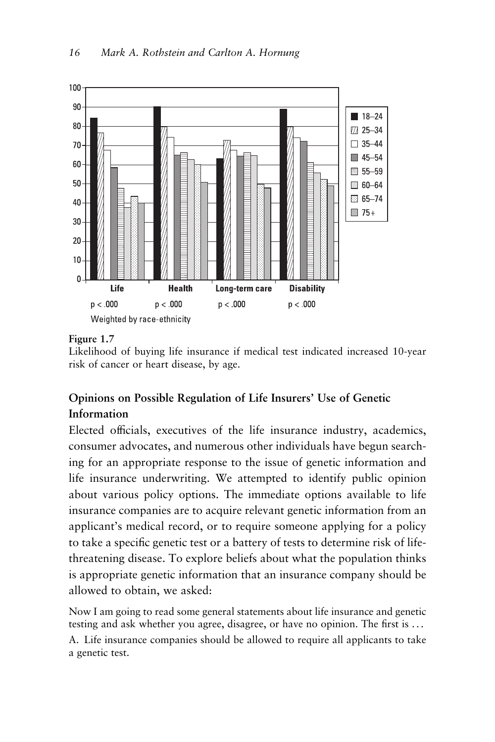

Likelihood of buying life insurance if medical test indicated increased 10-year risk of cancer or heart disease, by age.

# **Opinions on Possible Regulation of Life Insurers' Use of Genetic Information**

Elected officials, executives of the life insurance industry, academics, consumer advocates, and numerous other individuals have begun searching for an appropriate response to the issue of genetic information and life insurance underwriting. We attempted to identify public opinion about various policy options. The immediate options available to life insurance companies are to acquire relevant genetic information from an applicant's medical record, or to require someone applying for a policy to take a specific genetic test or a battery of tests to determine risk of lifethreatening disease. To explore beliefs about what the population thinks is appropriate genetic information that an insurance company should be allowed to obtain, we asked:

Now I am going to read some general statements about life insurance and genetic testing and ask whether you agree, disagree, or have no opinion. The first is . . . A. Life insurance companies should be allowed to require all applicants to take a genetic test.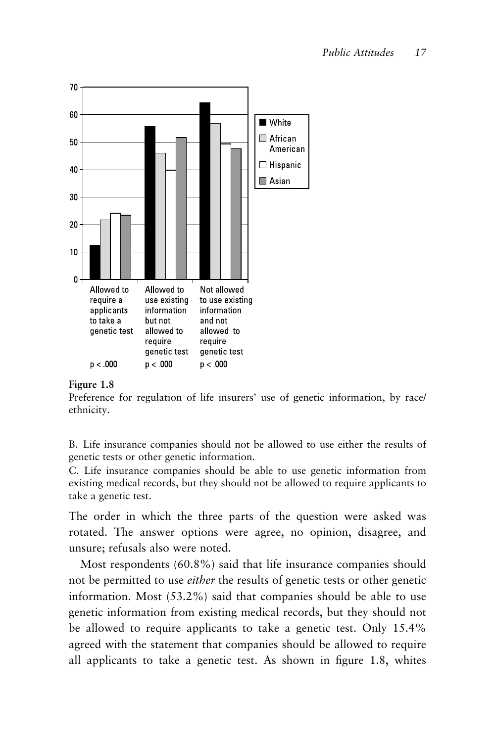

Preference for regulation of life insurers' use of genetic information, by race/ ethnicity.

B. Life insurance companies should not be allowed to use either the results of genetic tests or other genetic information.

C. Life insurance companies should be able to use genetic information from existing medical records, but they should not be allowed to require applicants to take a genetic test.

The order in which the three parts of the question were asked was rotated. The answer options were agree, no opinion, disagree, and unsure; refusals also were noted.

Most respondents (60.8%) said that life insurance companies should not be permitted to use *either* the results of genetic tests or other genetic information. Most (53.2%) said that companies should be able to use genetic information from existing medical records, but they should not be allowed to require applicants to take a genetic test. Only 15.4% agreed with the statement that companies should be allowed to require all applicants to take a genetic test. As shown in figure 1.8, whites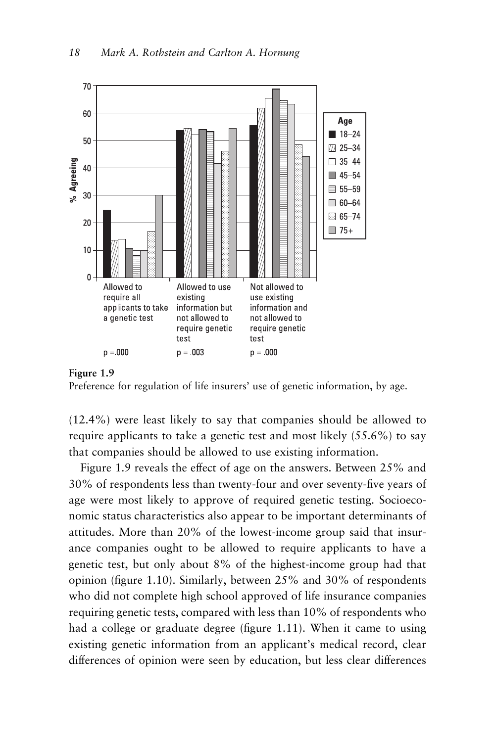

Preference for regulation of life insurers' use of genetic information, by age.

(12.4%) were least likely to say that companies should be allowed to require applicants to take a genetic test and most likely (55.6%) to say that companies should be allowed to use existing information.

Figure 1.9 reveals the effect of age on the answers. Between 25% and 30% of respondents less than twenty-four and over seventy-five years of age were most likely to approve of required genetic testing. Socioeconomic status characteristics also appear to be important determinants of attitudes. More than 20% of the lowest-income group said that insurance companies ought to be allowed to require applicants to have a genetic test, but only about 8% of the highest-income group had that opinion (figure 1.10). Similarly, between 25% and 30% of respondents who did not complete high school approved of life insurance companies requiring genetic tests, compared with less than 10% of respondents who had a college or graduate degree (figure 1.11). When it came to using existing genetic information from an applicant's medical record, clear differences of opinion were seen by education, but less clear differences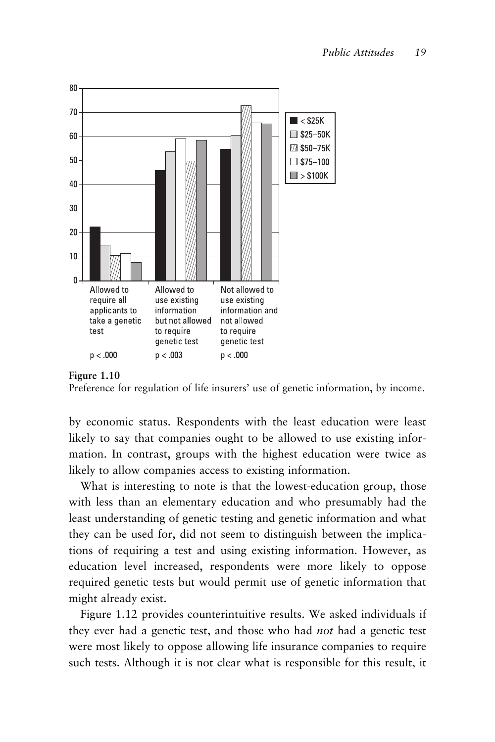

Preference for regulation of life insurers' use of genetic information, by income.

by economic status. Respondents with the least education were least likely to say that companies ought to be allowed to use existing information. In contrast, groups with the highest education were twice as likely to allow companies access to existing information.

What is interesting to note is that the lowest-education group, those with less than an elementary education and who presumably had the least understanding of genetic testing and genetic information and what they can be used for, did not seem to distinguish between the implications of requiring a test and using existing information. However, as education level increased, respondents were more likely to oppose required genetic tests but would permit use of genetic information that might already exist.

Figure 1.12 provides counterintuitive results. We asked individuals if they ever had a genetic test, and those who had *not* had a genetic test were most likely to oppose allowing life insurance companies to require such tests. Although it is not clear what is responsible for this result, it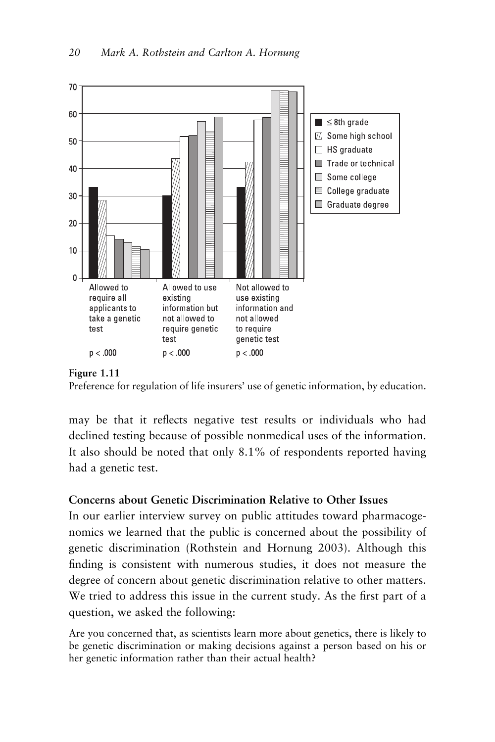

Preference for regulation of life insurers' use of genetic information, by education.

may be that it reflects negative test results or individuals who had declined testing because of possible nonmedical uses of the information. It also should be noted that only 8.1% of respondents reported having had a genetic test.

## **Concerns about Genetic Discrimination Relative to Other Issues**

In our earlier interview survey on public attitudes toward pharmacogenomics we learned that the public is concerned about the possibility of genetic discrimination (Rothstein and Hornung 2003). Although this finding is consistent with numerous studies, it does not measure the degree of concern about genetic discrimination relative to other matters. We tried to address this issue in the current study. As the first part of a question, we asked the following:

Are you concerned that, as scientists learn more about genetics, there is likely to be genetic discrimination or making decisions against a person based on his or her genetic information rather than their actual health?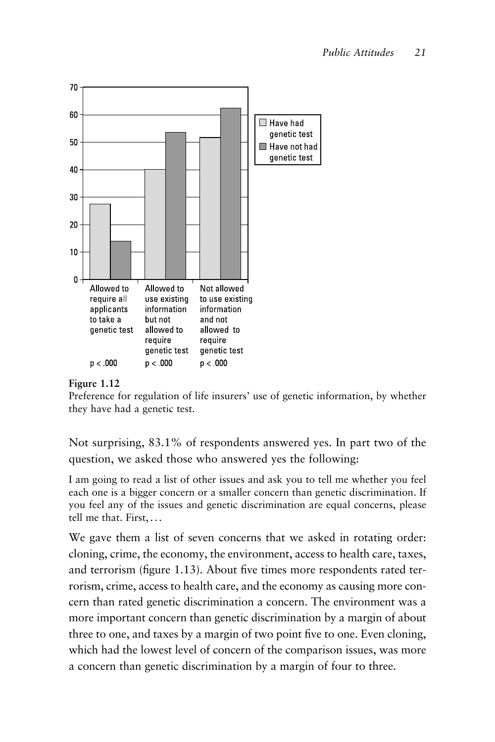

Preference for regulation of life insurers' use of genetic information, by whether they have had a genetic test.

Not surprising, 83.1% of respondents answered yes. In part two of the question, we asked those who answered yes the following:

I am going to read a list of other issues and ask you to tell me whether you feel each one is a bigger concern or a smaller concern than genetic discrimination. If you feel any of the issues and genetic discrimination are equal concerns, please tell me that. First, . . .

We gave them a list of seven concerns that we asked in rotating order: cloning, crime, the economy, the environment, access to health care, taxes, and terrorism (figure 1.13). About five times more respondents rated terrorism, crime, access to health care, and the economy as causing more concern than rated genetic discrimination a concern. The environment was a more important concern than genetic discrimination by a margin of about three to one, and taxes by a margin of two point five to one. Even cloning, which had the lowest level of concern of the comparison issues, was more a concern than genetic discrimination by a margin of four to three.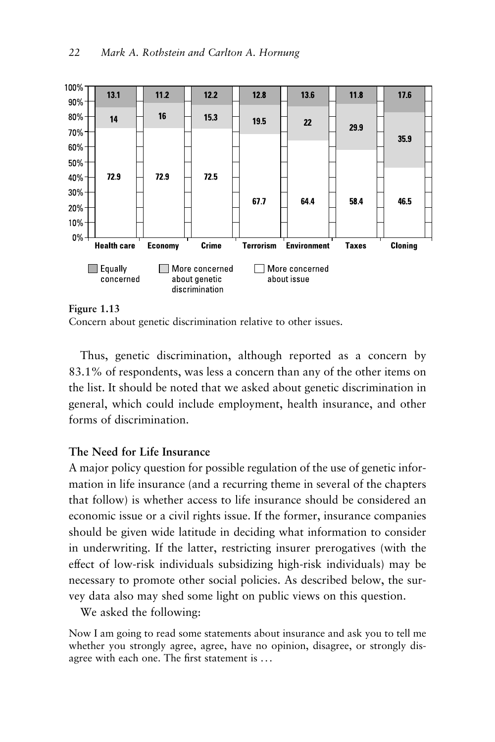

**Figure 1.13**

Concern about genetic discrimination relative to other issues.

Thus, genetic discrimination, although reported as a concern by 83.1% of respondents, was less a concern than any of the other items on the list. It should be noted that we asked about genetic discrimination in general, which could include employment, health insurance, and other forms of discrimination.

# **The Need for Life Insurance**

A major policy question for possible regulation of the use of genetic information in life insurance (and a recurring theme in several of the chapters that follow) is whether access to life insurance should be considered an economic issue or a civil rights issue. If the former, insurance companies should be given wide latitude in deciding what information to consider in underwriting. If the latter, restricting insurer prerogatives (with the effect of low-risk individuals subsidizing high-risk individuals) may be necessary to promote other social policies. As described below, the survey data also may shed some light on public views on this question.

We asked the following:

Now I am going to read some statements about insurance and ask you to tell me whether you strongly agree, agree, have no opinion, disagree, or strongly disagree with each one. The first statement is . . .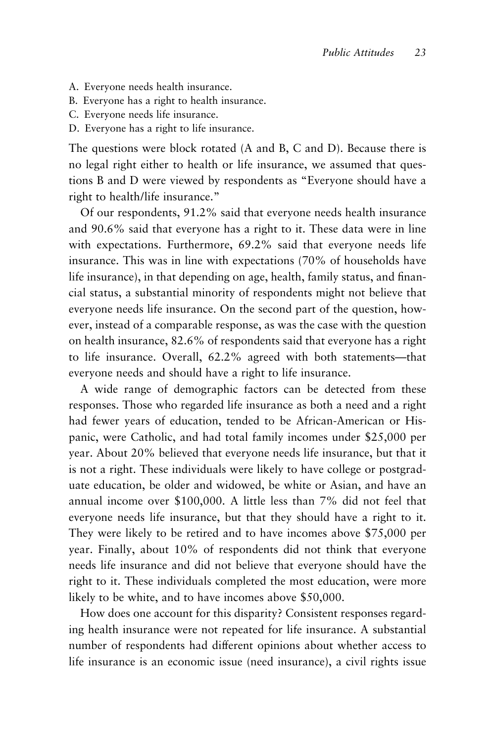- A. Everyone needs health insurance.
- B. Everyone has a right to health insurance.
- C. Everyone needs life insurance.
- D. Everyone has a right to life insurance.

The questions were block rotated (A and B, C and D). Because there is no legal right either to health or life insurance, we assumed that questions B and D were viewed by respondents as "Everyone should have a right to health/life insurance."

Of our respondents, 91.2% said that everyone needs health insurance and 90.6% said that everyone has a right to it. These data were in line with expectations. Furthermore, 69.2% said that everyone needs life insurance. This was in line with expectations (70% of households have life insurance), in that depending on age, health, family status, and financial status, a substantial minority of respondents might not believe that everyone needs life insurance. On the second part of the question, however, instead of a comparable response, as was the case with the question on health insurance, 82.6% of respondents said that everyone has a right to life insurance. Overall, 62.2% agreed with both statements—that everyone needs and should have a right to life insurance.

A wide range of demographic factors can be detected from these responses. Those who regarded life insurance as both a need and a right had fewer years of education, tended to be African-American or Hispanic, were Catholic, and had total family incomes under \$25,000 per year. About 20% believed that everyone needs life insurance, but that it is not a right. These individuals were likely to have college or postgraduate education, be older and widowed, be white or Asian, and have an annual income over \$100,000. A little less than 7% did not feel that everyone needs life insurance, but that they should have a right to it. They were likely to be retired and to have incomes above \$75,000 per year. Finally, about 10% of respondents did not think that everyone needs life insurance and did not believe that everyone should have the right to it. These individuals completed the most education, were more likely to be white, and to have incomes above \$50,000.

How does one account for this disparity? Consistent responses regarding health insurance were not repeated for life insurance. A substantial number of respondents had different opinions about whether access to life insurance is an economic issue (need insurance), a civil rights issue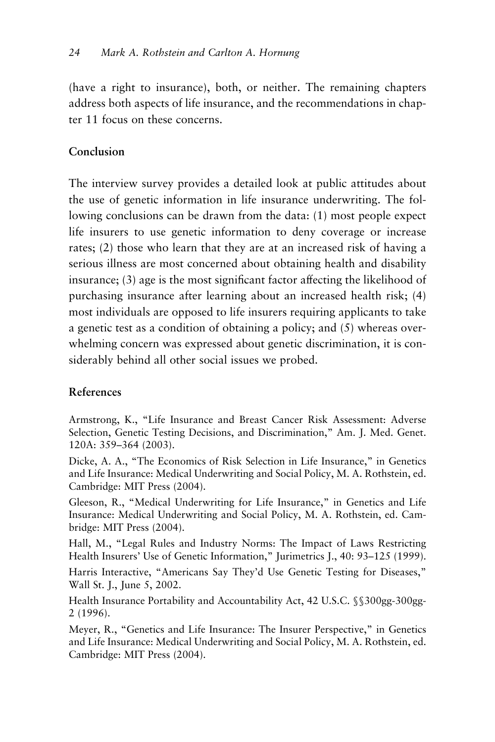(have a right to insurance), both, or neither. The remaining chapters address both aspects of life insurance, and the recommendations in chapter 11 focus on these concerns.

# **Conclusion**

The interview survey provides a detailed look at public attitudes about the use of genetic information in life insurance underwriting. The following conclusions can be drawn from the data: (1) most people expect life insurers to use genetic information to deny coverage or increase rates; (2) those who learn that they are at an increased risk of having a serious illness are most concerned about obtaining health and disability insurance; (3) age is the most significant factor affecting the likelihood of purchasing insurance after learning about an increased health risk; (4) most individuals are opposed to life insurers requiring applicants to take a genetic test as a condition of obtaining a policy; and (5) whereas overwhelming concern was expressed about genetic discrimination, it is considerably behind all other social issues we probed.

# **References**

Armstrong, K., "Life Insurance and Breast Cancer Risk Assessment: Adverse Selection, Genetic Testing Decisions, and Discrimination," Am. J. Med. Genet. 120A: 359–364 (2003).

Dicke, A. A., "The Economics of Risk Selection in Life Insurance," in Genetics and Life Insurance: Medical Underwriting and Social Policy, M. A. Rothstein, ed. Cambridge: MIT Press (2004).

Gleeson, R., "Medical Underwriting for Life Insurance," in Genetics and Life Insurance: Medical Underwriting and Social Policy, M. A. Rothstein, ed. Cambridge: MIT Press (2004).

Hall, M., "Legal Rules and Industry Norms: The Impact of Laws Restricting Health Insurers' Use of Genetic Information," Jurimetrics J., 40: 93–125 (1999).

Harris Interactive, "Americans Say They'd Use Genetic Testing for Diseases," Wall St. J., June 5, 2002.

Health Insurance Portability and Accountability Act, 42 U.S.C. §§300gg-300gg-2 (1996).

Meyer, R., "Genetics and Life Insurance: The Insurer Perspective," in Genetics and Life Insurance: Medical Underwriting and Social Policy, M. A. Rothstein, ed. Cambridge: MIT Press (2004).